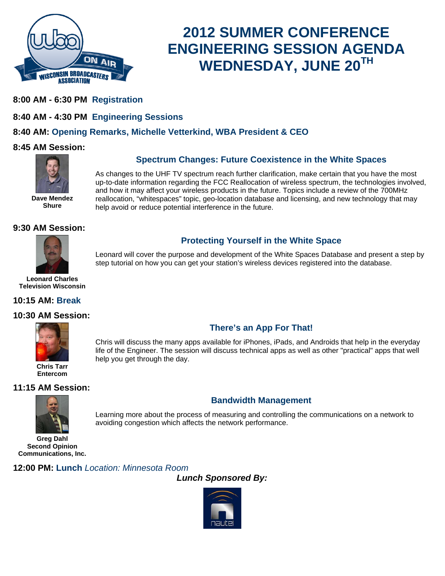

# **2012 SUMMER CONFERENCE ENGINEERING SESSION AGENDA WEDNESDAY, JUNE 20TH**

- **8:00 AM 6:30 PM Registration**
- **8:40 AM 4:30 PM Engineering Sessions**

# **8:40 AM: Opening Remarks, Michelle Vetterkind, WBA President & CEO**

help you get through the day.

#### **8:45 AM Session:**



#### **Spectrum Changes: Future Coexistence in the White Spaces**

**Protecting Yourself in the White Space**  Leonard will cover the purpose and development of the White Spaces Database and present a step by

**There's an App For That!**  Chris will discuss the many apps available for iPhones, iPads, and Androids that help in the everyday life of the Engineer. The session will discuss technical apps as well as other "practical" apps that well

As changes to the UHF TV spectrum reach further clarification, make certain that you have the most up-to-date information regarding the FCC Reallocation of wireless spectrum, the technologies involved, and how it may affect your wireless products in the future. Topics include a review of the 700MHz reallocation, "whitespaces" topic, geo-location database and licensing, and new technology that may help avoid or reduce potential interference in the future.

step tutorial on how you can get your station's wireless devices registered into the database.

#### **9:30 AM Session:**

**Shure**



**Leonard Charles Television Wisconsin**

#### **10:15 AM: Break**

#### **10:30 AM Session:**



**Chris Tarr Entercom**

#### **11:15 AM Session:**



Learning more about the process of measuring and controlling the communications on a network to avoiding congestion which affects the network performance.

**Bandwidth Management** 

**Greg Dahl Second Opinion Communications, Inc.**

#### **12:00 PM: Lunch** *Location: Minnesota Room*

*Lunch Sponsored By:*